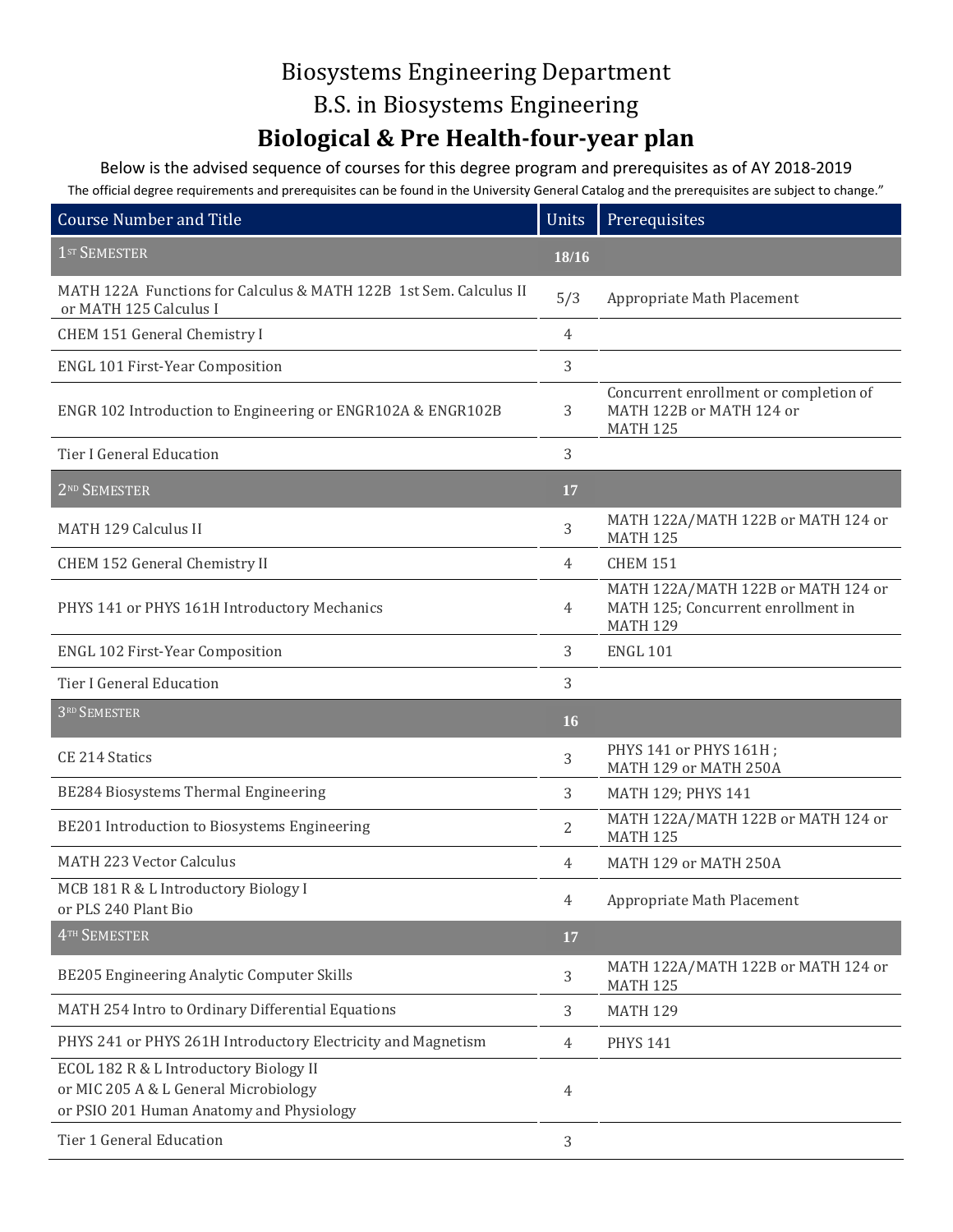## Biosystems Engineering Department B.S. in Biosystems Engineering **Biological & Pre Health-four-year plan**

Below is the advised sequence of courses for this degree program and prerequisites as of AY 2018-2019 The official degree requirements and prerequisites can be found in the University General Catalog and the prerequisites are subject to change."

| The Unitial acquest requirements and prerequisites can be found in the University Ocheral catalog and the prerequisites are subject to change. |                |                                                                                             |
|------------------------------------------------------------------------------------------------------------------------------------------------|----------------|---------------------------------------------------------------------------------------------|
| <b>Course Number and Title</b>                                                                                                                 | <b>Units</b>   | Prerequisites                                                                               |
| 1 <sup>ST</sup> SEMESTER                                                                                                                       | 18/16          |                                                                                             |
| MATH 122A Functions for Calculus & MATH 122B 1st Sem. Calculus II<br>or MATH 125 Calculus I                                                    | 5/3            | Appropriate Math Placement                                                                  |
| CHEM 151 General Chemistry I                                                                                                                   | 4              |                                                                                             |
| <b>ENGL 101 First-Year Composition</b>                                                                                                         | 3              |                                                                                             |
| ENGR 102 Introduction to Engineering or ENGR102A & ENGR102B                                                                                    | 3              | Concurrent enrollment or completion of<br>MATH 122B or MATH 124 or<br><b>MATH 125</b>       |
| Tier I General Education                                                                                                                       | 3              |                                                                                             |
| 2 <sup>ND</sup> SEMESTER                                                                                                                       | 17             |                                                                                             |
| <b>MATH 129 Calculus II</b>                                                                                                                    | 3              | MATH 122A/MATH 122B or MATH 124 or<br><b>MATH 125</b>                                       |
| CHEM 152 General Chemistry II                                                                                                                  | 4              | <b>CHEM 151</b>                                                                             |
| PHYS 141 or PHYS 161H Introductory Mechanics                                                                                                   | 4              | MATH 122A/MATH 122B or MATH 124 or<br>MATH 125; Concurrent enrollment in<br><b>MATH 129</b> |
| <b>ENGL 102 First-Year Composition</b>                                                                                                         | 3              | <b>ENGL 101</b>                                                                             |
| <b>Tier I General Education</b>                                                                                                                | 3              |                                                                                             |
| 3RD SEMESTER                                                                                                                                   | 16             |                                                                                             |
| <b>CE 214 Statics</b>                                                                                                                          | 3              | PHYS 141 or PHYS 161H;<br>MATH 129 or MATH 250A                                             |
| BE284 Biosystems Thermal Engineering                                                                                                           | 3              | MATH 129; PHYS 141                                                                          |
| BE201 Introduction to Biosystems Engineering                                                                                                   | $\overline{2}$ | MATH 122A/MATH 122B or MATH 124 or<br><b>MATH 125</b>                                       |
| <b>MATH 223 Vector Calculus</b>                                                                                                                | 4              | MATH 129 or MATH 250A                                                                       |
| MCB 181 R & L Introductory Biology I<br>or PLS 240 Plant Bio                                                                                   | 4              | Appropriate Math Placement                                                                  |
| 4TH SEMESTER                                                                                                                                   | 17             |                                                                                             |
| BE205 Engineering Analytic Computer Skills                                                                                                     | 3              | MATH 122A/MATH 122B or MATH 124 or<br><b>MATH 125</b>                                       |
| MATH 254 Intro to Ordinary Differential Equations                                                                                              | 3              | <b>MATH 129</b>                                                                             |
| PHYS 241 or PHYS 261H Introductory Electricity and Magnetism                                                                                   | 4              | <b>PHYS 141</b>                                                                             |
| ECOL 182 R & L Introductory Biology II<br>or MIC 205 A & L General Microbiology<br>or PSIO 201 Human Anatomy and Physiology                    | 4              |                                                                                             |
| Tier 1 General Education                                                                                                                       | 3              |                                                                                             |